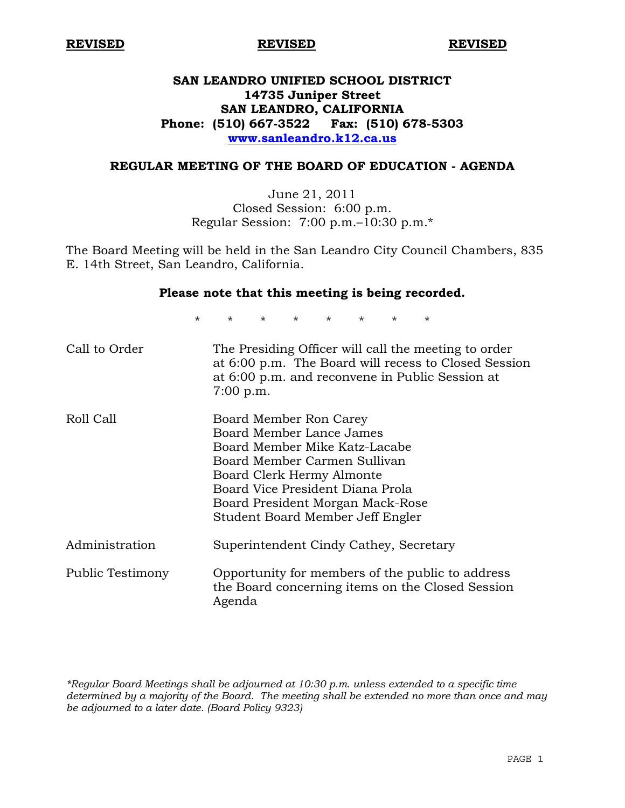# **SAN LEANDRO UNIFIED SCHOOL DISTRICT 14735 Juniper Street SAN LEANDRO, CALIFORNIA Phone: (510) 667-3522 Fax: (510) 678-5303 www.sanleandro.k12.ca.us**

# **REGULAR MEETING OF THE BOARD OF EDUCATION - AGENDA**

June 21, 2011 Closed Session: 6:00 p.m. Regular Session: 7:00 p.m.–10:30 p.m.\*

The Board Meeting will be held in the San Leandro City Council Chambers, 835 E. 14th Street, San Leandro, California.

#### **Please note that this meeting is being recorded.**

\* \* \* \* \* \* \* \*

| Call to Order    | The Presiding Officer will call the meeting to order<br>at 6:00 p.m. The Board will recess to Closed Session<br>at 6:00 p.m. and reconvene in Public Session at<br>$7:00$ p.m.                                                                               |
|------------------|--------------------------------------------------------------------------------------------------------------------------------------------------------------------------------------------------------------------------------------------------------------|
| Roll Call        | Board Member Ron Carey<br>Board Member Lance James<br>Board Member Mike Katz-Lacabe<br>Board Member Carmen Sullivan<br>Board Clerk Hermy Almonte<br>Board Vice President Diana Prola<br>Board President Morgan Mack-Rose<br>Student Board Member Jeff Engler |
| Administration   | Superintendent Cindy Cathey, Secretary                                                                                                                                                                                                                       |
| Public Testimony | Opportunity for members of the public to address<br>the Board concerning items on the Closed Session<br>Agenda                                                                                                                                               |

*\*Regular Board Meetings shall be adjourned at 10:30 p.m. unless extended to a specific time determined by a majority of the Board. The meeting shall be extended no more than once and may be adjourned to a later date. (Board Policy 9323)*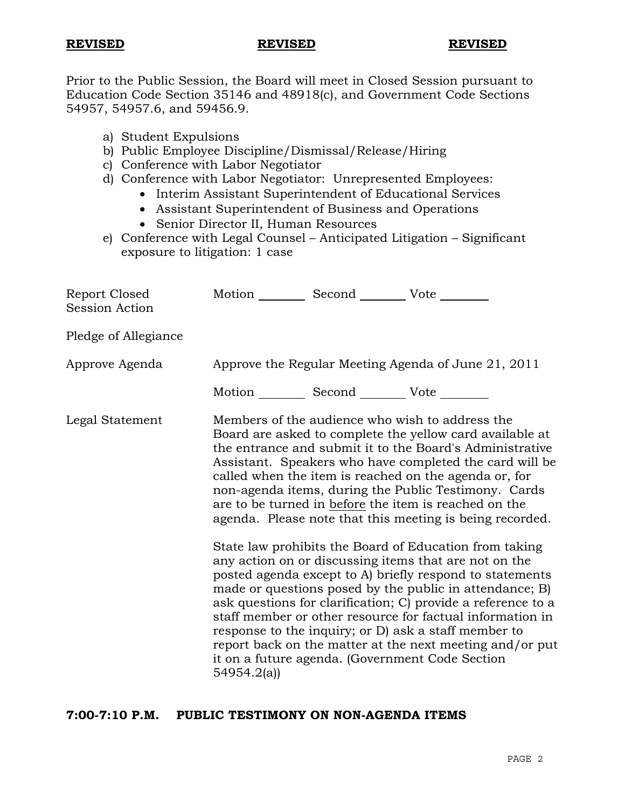Prior to the Public Session, the Board will meet in Closed Session pursuant to Education Code Section 35146 and 48918(c), and Government Code Sections 54957, 54957.6, and 59456.9.

- a) Student Expulsions
- b) Public Employee Discipline/Dismissal/Release/Hiring
- c) Conference with Labor Negotiator
- d) Conference with Labor Negotiator: Unrepresented Employees:
	- Interim Assistant Superintendent of Educational Services
		- Assistant Superintendent of Business and Operations
		- Senior Director II, Human Resources
- e) Conference with Legal Counsel Anticipated Litigation Significant exposure to litigation: 1 case

| Report Closed<br><b>Session Action</b> | Motion __________ Second __________ Vote ________   |  |                                                                                                                                                                                                                                                                                                                                                                                                                                                                                                                                                                                                                                                                                                                                                                                                                                                                                                                                                                                                                        |
|----------------------------------------|-----------------------------------------------------|--|------------------------------------------------------------------------------------------------------------------------------------------------------------------------------------------------------------------------------------------------------------------------------------------------------------------------------------------------------------------------------------------------------------------------------------------------------------------------------------------------------------------------------------------------------------------------------------------------------------------------------------------------------------------------------------------------------------------------------------------------------------------------------------------------------------------------------------------------------------------------------------------------------------------------------------------------------------------------------------------------------------------------|
| Pledge of Allegiance                   |                                                     |  |                                                                                                                                                                                                                                                                                                                                                                                                                                                                                                                                                                                                                                                                                                                                                                                                                                                                                                                                                                                                                        |
| Approve Agenda                         | Approve the Regular Meeting Agenda of June 21, 2011 |  |                                                                                                                                                                                                                                                                                                                                                                                                                                                                                                                                                                                                                                                                                                                                                                                                                                                                                                                                                                                                                        |
|                                        | Motion __________ Second __________ Vote ________   |  |                                                                                                                                                                                                                                                                                                                                                                                                                                                                                                                                                                                                                                                                                                                                                                                                                                                                                                                                                                                                                        |
| Legal Statement                        | 54954.2(a)                                          |  | Members of the audience who wish to address the<br>Board are asked to complete the yellow card available at<br>the entrance and submit it to the Board's Administrative<br>Assistant. Speakers who have completed the card will be<br>called when the item is reached on the agenda or, for<br>non-agenda items, during the Public Testimony. Cards<br>are to be turned in before the item is reached on the<br>agenda. Please note that this meeting is being recorded.<br>State law prohibits the Board of Education from taking<br>any action on or discussing items that are not on the<br>posted agenda except to A) briefly respond to statements<br>made or questions posed by the public in attendance; B)<br>ask questions for clarification; C) provide a reference to a<br>staff member or other resource for factual information in<br>response to the inquiry; or D) ask a staff member to<br>report back on the matter at the next meeting and/or put<br>it on a future agenda. (Government Code Section |

# **7:00-7:10 P.M. PUBLIC TESTIMONY ON NON-AGENDA ITEMS**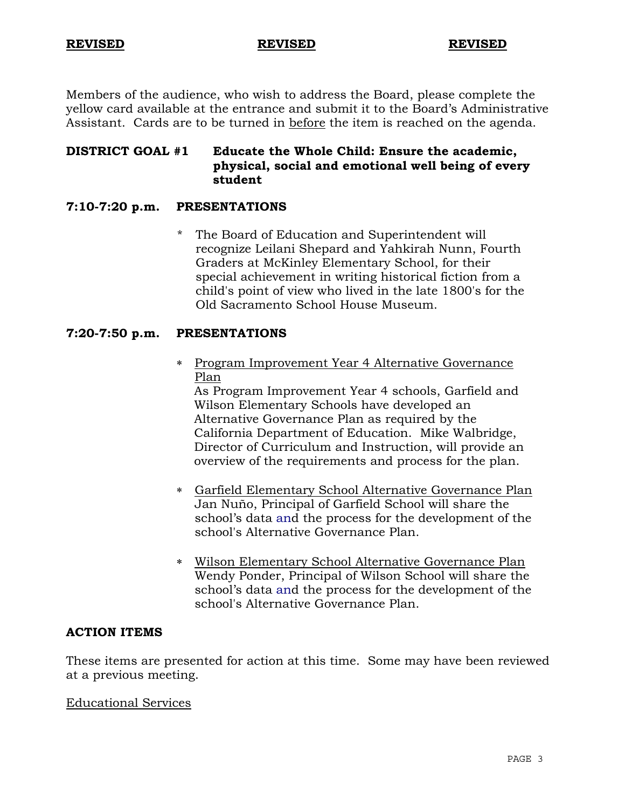Members of the audience, who wish to address the Board, please complete the yellow card available at the entrance and submit it to the Board's Administrative Assistant. Cards are to be turned in before the item is reached on the agenda.

# **DISTRICT GOAL #1 Educate the Whole Child: Ensure the academic, physical, social and emotional well being of every student**

# **7:10-7:20 p.m. PRESENTATIONS**

\* The Board of Education and Superintendent will recognize Leilani Shepard and Yahkirah Nunn, Fourth Graders at McKinley Elementary School, for their special achievement in writing historical fiction from a child's point of view who lived in the late 1800's for the Old Sacramento School House Museum.

### **7:20-7:50 p.m. PRESENTATIONS**

 Program Improvement Year 4 Alternative Governance Plan

As Program Improvement Year 4 schools, Garfield and Wilson Elementary Schools have developed an Alternative Governance Plan as required by the California Department of Education. Mike Walbridge, Director of Curriculum and Instruction, will provide an overview of the requirements and process for the plan.

- Garfield Elementary School Alternative Governance Plan Jan Nuño, Principal of Garfield School will share the school's data and the process for the development of the school's Alternative Governance Plan.
- Wilson Elementary School Alternative Governance Plan Wendy Ponder, Principal of Wilson School will share the school's data and the process for the development of the school's Alternative Governance Plan.

#### **ACTION ITEMS**

These items are presented for action at this time. Some may have been reviewed at a previous meeting.

#### Educational Services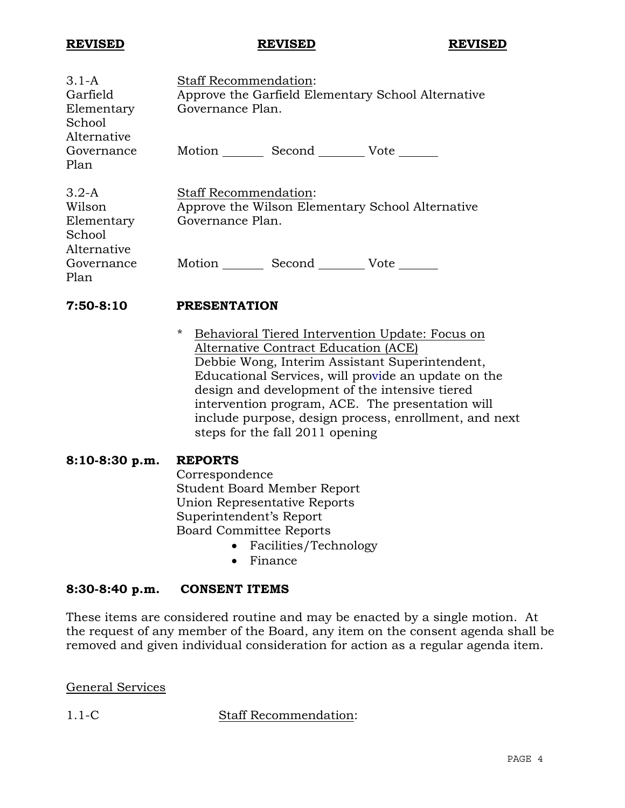| $3.1 - A$                                                | <b>Staff Recommendation:</b>                                                                         |
|----------------------------------------------------------|------------------------------------------------------------------------------------------------------|
| Garfield                                                 | Approve the Garfield Elementary School Alternative                                                   |
| Elementary<br>School<br>Alternative                      | Governance Plan.                                                                                     |
| Governance<br>Plan                                       | Motion Second Vote                                                                                   |
| $3.2-A$<br>Wilson<br>Elementary<br>School<br>Alternative | <b>Staff Recommendation:</b><br>Approve the Wilson Elementary School Alternative<br>Governance Plan. |
| Governance<br>Plan                                       | Motion<br>Second Vote                                                                                |

**7:50-8:10 PRESENTATION** 

\* Behavioral Tiered Intervention Update: Focus on Alternative Contract Education (ACE) Debbie Wong, Interim Assistant Superintendent, Educational Services, will provide an update on the design and development of the intensive tiered intervention program, ACE. The presentation will include purpose, design process, enrollment, and next steps for the fall 2011 opening

# **8:10-8:30 p.m. REPORTS**

 Correspondence Student Board Member Report Union Representative Reports Superintendent's Report Board Committee Reports

- Facilities/Technology
- Finance

# **8:30-8:40 p.m. CONSENT ITEMS**

These items are considered routine and may be enacted by a single motion. At the request of any member of the Board, any item on the consent agenda shall be removed and given individual consideration for action as a regular agenda item.

General Services

1.1-C Staff Recommendation: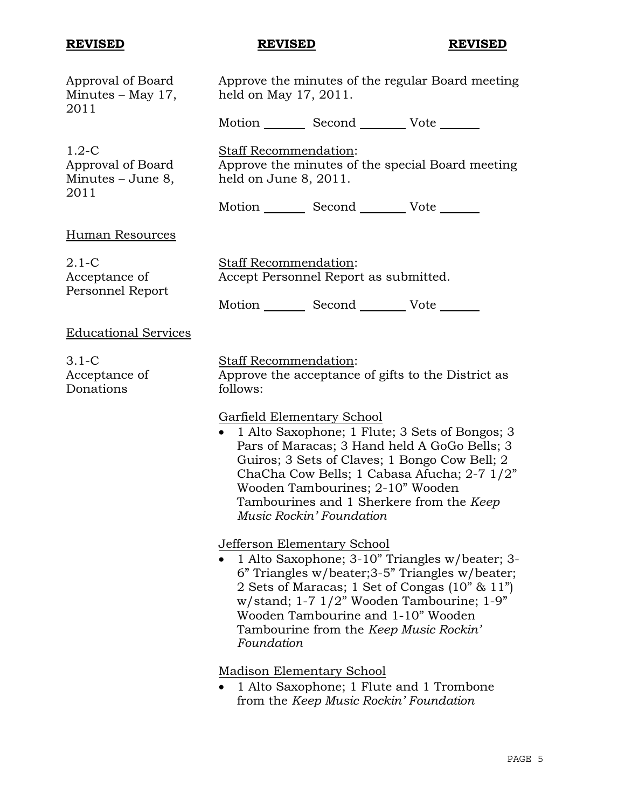| Approval of Board<br>Minutes $-$ May 17,<br>2011            | Approve the minutes of the regular Board meeting<br>held on May 17, 2011.                                                                                                                                                                                                                                                                       |  |  |
|-------------------------------------------------------------|-------------------------------------------------------------------------------------------------------------------------------------------------------------------------------------------------------------------------------------------------------------------------------------------------------------------------------------------------|--|--|
|                                                             | Motion _________ Second __________ Vote _______                                                                                                                                                                                                                                                                                                 |  |  |
| $1.2-C$<br>Approval of Board<br>Minutes $-$ June 8,<br>2011 | Staff Recommendation:<br>Approve the minutes of the special Board meeting<br>held on June 8, 2011.                                                                                                                                                                                                                                              |  |  |
|                                                             | Motion _________ Second __________ Vote _______                                                                                                                                                                                                                                                                                                 |  |  |
| Human Resources                                             |                                                                                                                                                                                                                                                                                                                                                 |  |  |
| $2.1-C$<br>Acceptance of<br>Personnel Report                | Staff Recommendation:<br>Accept Personnel Report as submitted.                                                                                                                                                                                                                                                                                  |  |  |
|                                                             | Motion _________ Second __________ Vote _______                                                                                                                                                                                                                                                                                                 |  |  |
| <b>Educational Services</b>                                 |                                                                                                                                                                                                                                                                                                                                                 |  |  |
| $3.1-C$<br>Acceptance of<br>Donations                       | Staff Recommendation:<br>Approve the acceptance of gifts to the District as<br>follows:                                                                                                                                                                                                                                                         |  |  |
|                                                             | <b>Garfield Elementary School</b><br>1 Alto Saxophone; 1 Flute; 3 Sets of Bongos; 3<br>Pars of Maracas; 3 Hand held A GoGo Bells; 3<br>Guiros; 3 Sets of Claves; 1 Bongo Cow Bell; 2<br>ChaCha Cow Bells; 1 Cabasa Afucha; 2-7 1/2"<br>Wooden Tambourines; 2-10" Wooden<br>Tambourines and 1 Sherkere from the Keep<br>Music Rockin' Foundation |  |  |
|                                                             | <b>Jefferson Elementary School</b><br>1 Alto Saxophone; 3-10" Triangles w/beater; 3-<br>6" Triangles w/beater; 3-5" Triangles w/beater;<br>2 Sets of Maracas; 1 Set of Congas (10" & 11")<br>w/stand; 1-7 1/2" Wooden Tambourine; 1-9"<br>Wooden Tambourine and 1-10" Wooden<br>Tambourine from the Keep Music Rockin'<br>Foundation            |  |  |
|                                                             | <b>Madison Elementary School</b>                                                                                                                                                                                                                                                                                                                |  |  |

 1 Alto Saxophone; 1 Flute and 1 Trombone from the *Keep Music Rockin' Foundation*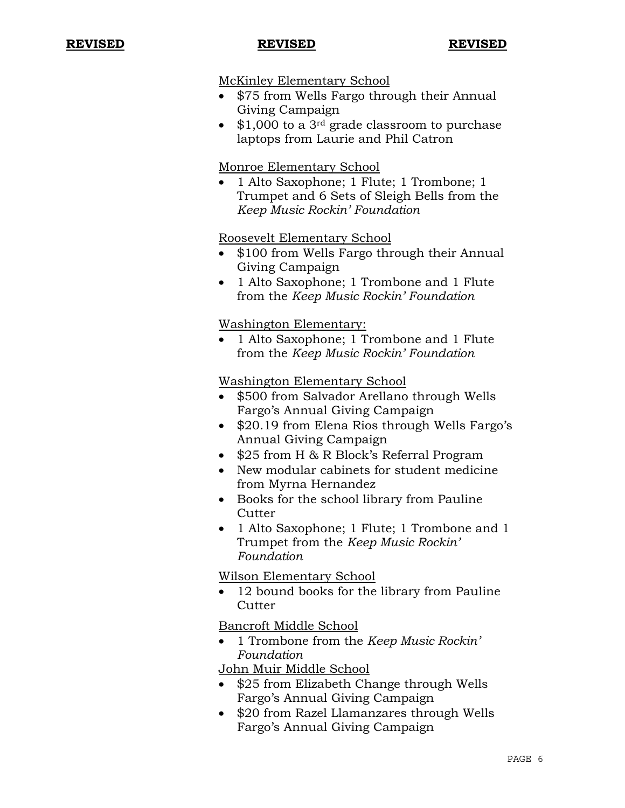### McKinley Elementary School

- \$75 from Wells Fargo through their Annual Giving Campaign
- $\bullet$  \$1,000 to a 3<sup>rd</sup> grade classroom to purchase laptops from Laurie and Phil Catron

# Monroe Elementary School

 1 Alto Saxophone; 1 Flute; 1 Trombone; 1 Trumpet and 6 Sets of Sleigh Bells from the *Keep Music Rockin' Foundation* 

# Roosevelt Elementary School

- \$100 from Wells Fargo through their Annual Giving Campaign
- 1 Alto Saxophone; 1 Trombone and 1 Flute from the *Keep Music Rockin' Foundation*

# Washington Elementary:

 1 Alto Saxophone; 1 Trombone and 1 Flute from the *Keep Music Rockin' Foundation* 

# Washington Elementary School

- \$500 from Salvador Arellano through Wells Fargo's Annual Giving Campaign
- \$20.19 from Elena Rios through Wells Fargo's Annual Giving Campaign
- \$25 from H & R Block's Referral Program
- New modular cabinets for student medicine from Myrna Hernandez
- Books for the school library from Pauline **Cutter**
- 1 Alto Saxophone; 1 Flute; 1 Trombone and 1 Trumpet from the *Keep Music Rockin' Foundation*

# Wilson Elementary School

 12 bound books for the library from Pauline **Cutter** 

Bancroft Middle School

 1 Trombone from the *Keep Music Rockin' Foundation* 

John Muir Middle School

- \$25 from Elizabeth Change through Wells Fargo's Annual Giving Campaign
- \$20 from Razel Llamanzares through Wells Fargo's Annual Giving Campaign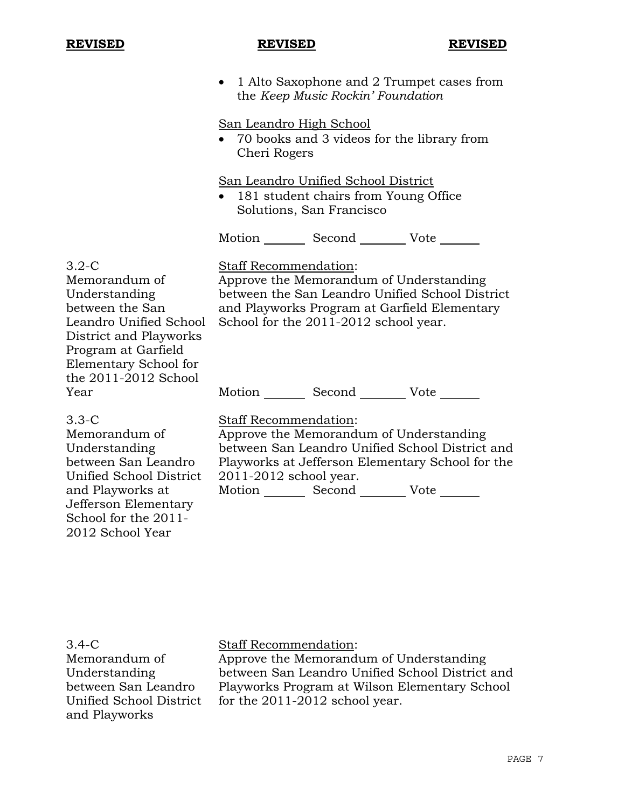• 1 Alto Saxophone and 2 Trumpet cases from the *Keep Music Rockin' Foundation* 

### San Leandro High School

 70 books and 3 videos for the library from Cheri Rogers

San Leandro Unified School District

• 181 student chairs from Young Office Solutions, San Francisco

Motion Second Vote

3.2-C Memorandum of Understanding between the San Leandro Unified School District and Playworks Program at Garfield Elementary School for the 2011-2012 School Year

Staff Recommendation:

Approve the Memorandum of Understanding between the San Leandro Unified School District and Playworks Program at Garfield Elementary School for the 2011-2012 school year.

Motion Second Vote

3.3-C

Memorandum of Understanding between San Leandro Unified School District and Playworks at Jefferson Elementary School for the 2011- 2012 School Year

Staff Recommendation:

Approve the Memorandum of Understanding between San Leandro Unified School District and Playworks at Jefferson Elementary School for the 2011-2012 school year. Motion \_\_\_\_\_\_\_\_ Second \_\_\_\_\_\_\_\_ Vote \_\_\_\_\_\_

3.4-C Memorandum of Understanding between San Leandro Unified School District and Playworks

# Staff Recommendation:

Approve the Memorandum of Understanding between San Leandro Unified School District and Playworks Program at Wilson Elementary School for the 2011-2012 school year.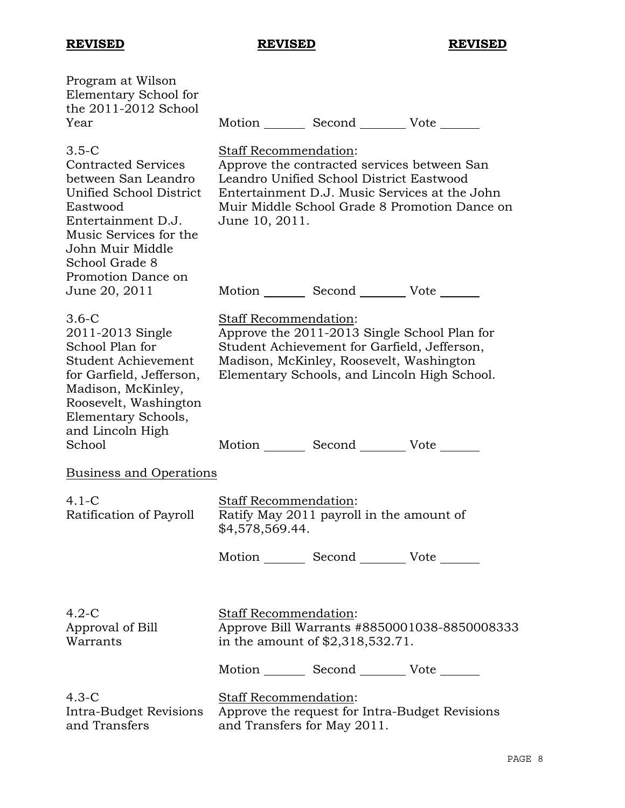| Program at Wilson<br>Elementary School for<br>the 2011-2012 School<br>Year                                                                                                                                      | Motion _________ Second __________ Vote _______                                                                                                                                                                                      |  |  |
|-----------------------------------------------------------------------------------------------------------------------------------------------------------------------------------------------------------------|--------------------------------------------------------------------------------------------------------------------------------------------------------------------------------------------------------------------------------------|--|--|
| $3.5-C$<br><b>Contracted Services</b><br>between San Leandro<br>Unified School District<br>Eastwood<br>Entertainment D.J.<br>Music Services for the<br>John Muir Middle<br>School Grade 8<br>Promotion Dance on | Staff Recommendation:<br>Approve the contracted services between San<br>Leandro Unified School District Eastwood<br>Entertainment D.J. Music Services at the John<br>Muir Middle School Grade 8 Promotion Dance on<br>June 10, 2011. |  |  |
| June 20, 2011                                                                                                                                                                                                   | Motion _________ Second __________ Vote _______                                                                                                                                                                                      |  |  |
| $3.6-C$<br>2011-2013 Single<br>School Plan for<br>Student Achievement<br>for Garfield, Jefferson,<br>Madison, McKinley,<br>Roosevelt, Washington<br>Elementary Schools,                                         | Staff Recommendation:<br>Approve the 2011-2013 Single School Plan for<br>Student Achievement for Garfield, Jefferson,<br>Madison, McKinley, Roosevelt, Washington<br>Elementary Schools, and Lincoln High School.                    |  |  |
| and Lincoln High<br>School                                                                                                                                                                                      | Motion _________ Second __________ Vote _______                                                                                                                                                                                      |  |  |
| <b>Business and Operations</b>                                                                                                                                                                                  |                                                                                                                                                                                                                                      |  |  |
|                                                                                                                                                                                                                 |                                                                                                                                                                                                                                      |  |  |
| $4.1-C$<br>Ratification of Payroll                                                                                                                                                                              | <b>Staff Recommendation:</b><br>Ratify May 2011 payroll in the amount of<br>\$4,578,569.44.                                                                                                                                          |  |  |
|                                                                                                                                                                                                                 | Motion _________ Second __________ Vote _______                                                                                                                                                                                      |  |  |
|                                                                                                                                                                                                                 |                                                                                                                                                                                                                                      |  |  |
| $4.2-C$<br>Approval of Bill<br>Warrants                                                                                                                                                                         | <b>Staff Recommendation:</b><br>Approve Bill Warrants #8850001038-8850008333<br>in the amount of \$2,318,532.71.                                                                                                                     |  |  |
|                                                                                                                                                                                                                 | Motion _________ Second __________ Vote _______                                                                                                                                                                                      |  |  |
| $4.3-C$<br>Intra-Budget Revisions<br>and Transfers                                                                                                                                                              | Staff Recommendation:<br>Approve the request for Intra-Budget Revisions<br>and Transfers for May 2011.                                                                                                                               |  |  |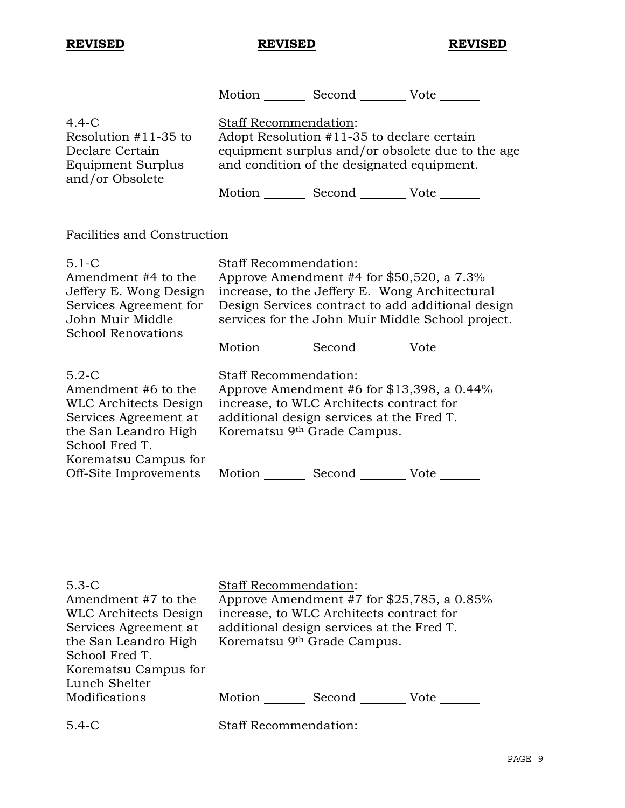Off-Site Improvements

**REVISED REVISED REVISED**

Motion Second Vote

Motion Second Vote

4.4-C Resolution #11-35 to Declare Certain Equipment Surplus and/or Obsolete Staff Recommendation: Adopt Resolution #11-35 to declare certain equipment surplus and/or obsolete due to the age and condition of the designated equipment. Motion Second Vote Facilities and Construction 5.1-C Amendment #4 to the Jeffery E. Wong Design Services Agreement for John Muir Middle School Renovations Staff Recommendation: Approve Amendment #4 for \$50,520, a 7.3% increase, to the Jeffery E. Wong Architectural Design Services contract to add additional design services for the John Muir Middle School project. Motion Second Vote \_\_\_\_\_\_ 5.2-C Amendment #6 to the WLC Architects Design Services Agreement at the San Leandro High School Fred T. Korematsu Campus for Staff Recommendation: Approve Amendment #6 for \$13,398, a 0.44% increase, to WLC Architects contract for additional design services at the Fred T. Korematsu 9th Grade Campus.

5.3-C Amendment #7 to the WLC Architects Design Services Agreement at the San Leandro High School Fred T. Korematsu Campus for Lunch Shelter Modifications Staff Recommendation: Approve Amendment #7 for \$25,785, a 0.85% increase, to WLC Architects contract for additional design services at the Fred T. Korematsu 9th Grade Campus. Motion Second Vote 5.4-C Staff Recommendation:

PAGE 9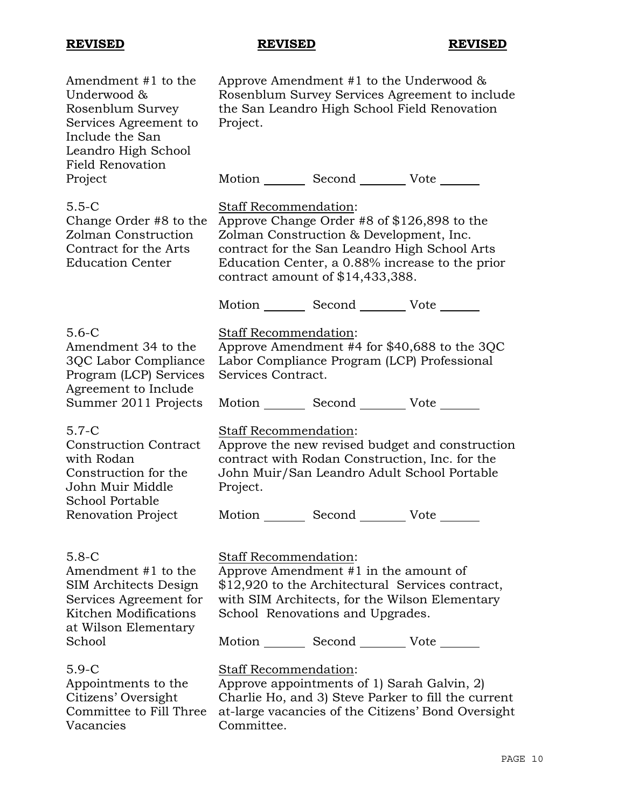| Amendment #1 to the<br>Underwood &<br>Rosenblum Survey<br>Services Agreement to<br>Include the San<br>Leandro High School<br><b>Field Renovation</b> | Approve Amendment #1 to the Underwood $\&$<br>Rosenblum Survey Services Agreement to include<br>the San Leandro High School Field Renovation<br>Project.                                                                                                           |
|------------------------------------------------------------------------------------------------------------------------------------------------------|--------------------------------------------------------------------------------------------------------------------------------------------------------------------------------------------------------------------------------------------------------------------|
| Project                                                                                                                                              | Motion _________ Second __________ Vote _______                                                                                                                                                                                                                    |
| $5.5-C$<br>Change Order #8 to the<br>Zolman Construction<br>Contract for the Arts<br><b>Education Center</b>                                         | Staff Recommendation:<br>Approve Change Order #8 of \$126,898 to the<br>Zolman Construction & Development, Inc.<br>contract for the San Leandro High School Arts<br>Education Center, a 0.88% increase to the prior<br>contract amount of $$14,433,388$ .          |
|                                                                                                                                                      | Motion _________ Second __________ Vote _______                                                                                                                                                                                                                    |
| $5.6 - C$<br>Amendment 34 to the<br>3QC Labor Compliance<br>Program (LCP) Services<br>Agreement to Include                                           | Staff Recommendation:<br>Approve Amendment #4 for \$40,688 to the 3QC<br>Labor Compliance Program (LCP) Professional<br>Services Contract.                                                                                                                         |
| Summer 2011 Projects                                                                                                                                 | Motion _________ Second __________ Vote _______                                                                                                                                                                                                                    |
| $5.7 - C$<br><b>Construction Contract</b><br>with Rodan<br>Construction for the<br>John Muir Middle<br><b>School Portable</b>                        | Staff Recommendation:<br>Approve the new revised budget and construction<br>contract with Rodan Construction, Inc. for the<br>John Muir/San Leandro Adult School Portable<br>Project.                                                                              |
| Renovation Project                                                                                                                                   | Motion _________ Second __________ Vote _______                                                                                                                                                                                                                    |
| $5.8 - C$<br>Amendment #1 to the<br>SIM Architects Design<br>Services Agreement for<br>Kitchen Modifications<br>at Wilson Elementary<br>School       | <b>Staff Recommendation:</b><br>Approve Amendment #1 in the amount of<br>\$12,920 to the Architectural Services contract,<br>with SIM Architects, for the Wilson Elementary<br>School Renovations and Upgrades.<br>Motion _________ Second __________ Vote _______ |
| $5.9-C$<br>Appointments to the<br>Citizens' Oversight<br>Committee to Fill Three<br>Vacancies                                                        | Staff Recommendation:<br>Approve appointments of 1 Sarah Galvin, 2)<br>Charlie Ho, and 3) Steve Parker to fill the current<br>at-large vacancies of the Citizens' Bond Oversight<br>Committee.                                                                     |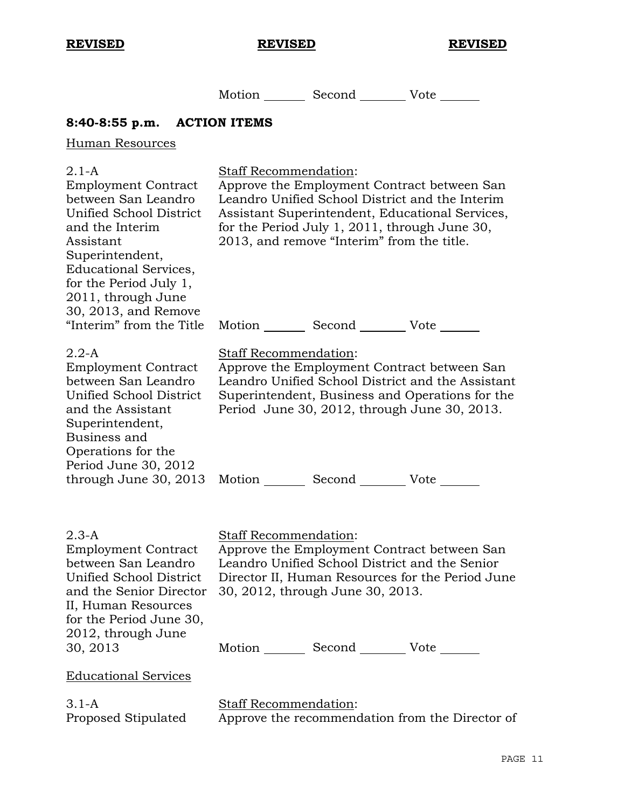Motion Second Vote

# **8:40-8:55 p.m. ACTION ITEMS**

# Human Resources

| $2.1-A$<br><b>Employment Contract</b><br>between San Leandro<br>Unified School District<br>and the Interim<br>Assistant<br>Superintendent,<br><b>Educational Services,</b><br>for the Period July 1,<br>2011, through June | Staff Recommendation:                                                                                                                                                                                          | 2013, and remove "Interim" from the title.      | Approve the Employment Contract between San<br>Leandro Unified School District and the Interim<br>Assistant Superintendent, Educational Services,<br>for the Period July 1, 2011, through June 30,  |
|----------------------------------------------------------------------------------------------------------------------------------------------------------------------------------------------------------------------------|----------------------------------------------------------------------------------------------------------------------------------------------------------------------------------------------------------------|-------------------------------------------------|-----------------------------------------------------------------------------------------------------------------------------------------------------------------------------------------------------|
| 30, 2013, and Remove<br>"Interim" from the Title                                                                                                                                                                           |                                                                                                                                                                                                                | Motion _________ Second __________ Vote _______ |                                                                                                                                                                                                     |
| $2.2-A$<br><b>Employment Contract</b><br>between San Leandro<br>Unified School District<br>and the Assistant<br>Superintendent,<br>Business and<br>Operations for the                                                      | Staff Recommendation:                                                                                                                                                                                          |                                                 | Approve the Employment Contract between San<br>Leandro Unified School District and the Assistant<br>Superintendent, Business and Operations for the<br>Period June 30, 2012, through June 30, 2013. |
| Period June 30, 2012<br>through June 30, 2013                                                                                                                                                                              |                                                                                                                                                                                                                | Motion Second Vote                              |                                                                                                                                                                                                     |
| $2.3-A$<br><b>Employment Contract</b><br>between San Leandro<br>Unified School District<br>and the Senior Director<br>II, Human Resources<br>for the Period June 30,<br>2012, through June                                 | Staff Recommendation:<br>Approve the Employment Contract between San<br>Leandro Unified School District and the Senior<br>Director II, Human Resources for the Period June<br>30, 2012, through June 30, 2013. |                                                 |                                                                                                                                                                                                     |
| 30, 2013                                                                                                                                                                                                                   |                                                                                                                                                                                                                | Motion _________ Second __________ Vote _______ |                                                                                                                                                                                                     |
| <b>Educational Services</b>                                                                                                                                                                                                |                                                                                                                                                                                                                |                                                 |                                                                                                                                                                                                     |
| $3.1 - A$<br>Proposed Stipulated                                                                                                                                                                                           | Staff Recommendation:                                                                                                                                                                                          |                                                 | Approve the recommendation from the Director of                                                                                                                                                     |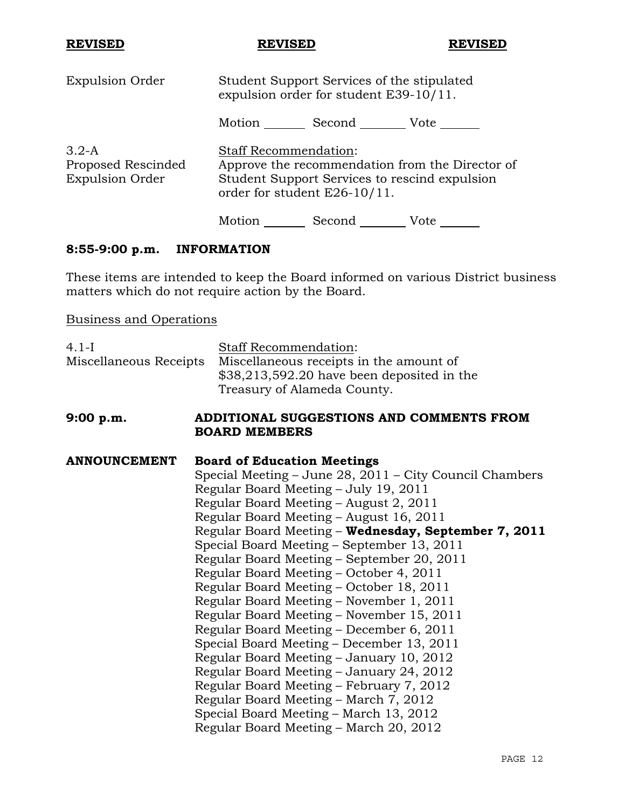| <b>Expulsion Order</b>                                  | Student Support Services of the stipulated<br>expulsion order for student E39-10/11.                                                                             |  |
|---------------------------------------------------------|------------------------------------------------------------------------------------------------------------------------------------------------------------------|--|
|                                                         | Motion<br>Second<br>Vote                                                                                                                                         |  |
| $3.2-A$<br>Proposed Rescinded<br><b>Expulsion Order</b> | <b>Staff Recommendation:</b><br>Approve the recommendation from the Director of<br>Student Support Services to rescind expulsion<br>order for student E26-10/11. |  |
|                                                         | Motion<br>Second<br>Vote                                                                                                                                         |  |

# **8:55-9:00 p.m. INFORMATION**

These items are intended to keep the Board informed on various District business matters which do not require action by the Board.

Business and Operations

| $4.1-I$                | Staff Recommendation:                                   |
|------------------------|---------------------------------------------------------|
| Miscellaneous Receipts | Miscellaneous receipts in the amount of                 |
|                        | \$38,213,592.20 have been deposited in the              |
|                        | Treasury of Alameda County.                             |
| 9:00 p.m.              | ADDITIONAL SUGGESTIONS AND COMMENTS FROM                |
|                        | <b>BOARD MEMBERS</b>                                    |
|                        |                                                         |
| <b>ANNOUNCEMENT</b>    | <b>Board of Education Meetings</b>                      |
|                        | Special Meeting – June 28, 2011 – City Council Chambers |
|                        | Regular Board Meeting - July 19, 2011                   |
|                        | Regular Board Meeting - August 2, 2011                  |
|                        | Regular Board Meeting – August 16, 2011                 |
|                        | Regular Board Meeting - Wednesday, September 7, 2011    |
|                        | Special Board Meeting – September 13, 2011              |
|                        | Regular Board Meeting – September 20, 2011              |
|                        | Regular Board Meeting – October 4, 2011                 |
|                        | Regular Board Meeting – October 18, 2011                |
|                        | Regular Board Meeting – November 1, 2011                |
|                        | Regular Board Meeting - November 15, 2011               |
|                        | Regular Board Meeting – December 6, 2011                |
|                        | Special Board Meeting – December 13, 2011               |
|                        | Regular Board Meeting – January 10, 2012                |
|                        | Regular Board Meeting - January 24, 2012                |
|                        | Regular Board Meeting – February 7, 2012                |
|                        | Regular Board Meeting – March 7, 2012                   |
|                        | Special Board Meeting – March 13, 2012                  |
|                        | Regular Board Meeting – March 20, 2012                  |